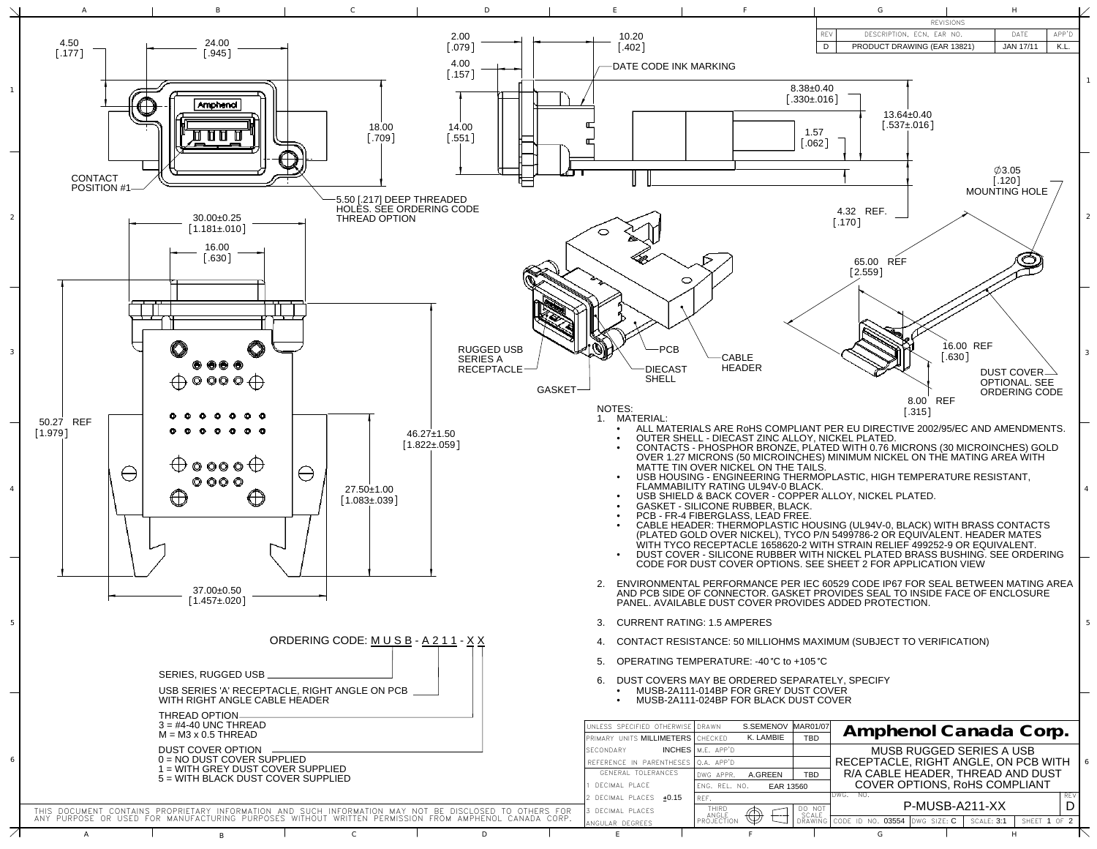